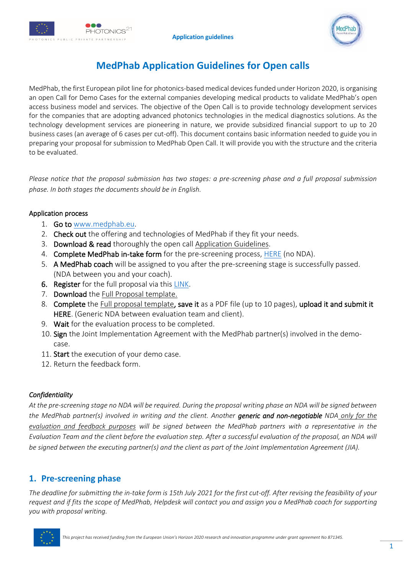



# **MedPhab Application Guidelines for Open calls**

MedPhab, the first European pilot line for photonics-based medical devices funded under Horizon 2020, is organising an open Call for Demo Cases for the external companies developing medical products to validate MedPhab's open access business model and services. The objective of the Open Call is to provide technology development services for the companies that are adopting advanced photonics technologies in the medical diagnostics solutions. As the technology development services are pioneering in nature, we provide subsidized financial support to up to 20 business cases (an average of 6 cases per cut-off). This document contains basic information needed to guide you in preparing your proposal for submission to MedPhab Open Call. It will provide you with the structure and the criteria to be evaluated.

*Please notice that the proposal submission has two stages: a pre-screening phase and a full proposal submission phase. In both stages the documents should be in English.*

## Application process

- 1. Go to [www.medphab.eu.](http://www.medphab.eu/)
- 2. Check out the offering and technologies of MedPhab if they fit your needs.
- 3. Download & read thoroughly the open call Application Guidelines.
- 4. Complete MedPhab in-take form for the pre-screening process, [HERE](https://community.medphab.eu/intake-form/) (no NDA).
- 5. A MedPhab coach will be assigned to you after the pre-screening stage is successfully passed. (NDA between you and your coach).
- 6. Register for the full proposal via this [LINK.](https://apply.medphab.eu/)
- 7. Download the Full Proposal template.
- 8. Complete the Full proposal template, save it as a PDF file (up to 10 pages), upload it and submit it HERE. (Generic NDA between evaluation team and client).
- 9. Wait for the evaluation process to be completed.
- 10. Sign the Joint Implementation Agreement with the MedPhab partner(s) involved in the democase.
- 11. Start the execution of your demo case.
- 12. Return the feedback form.

## *Confidentiality*

*At the pre-screening stage no NDA will be required. During the proposal writing phase an NDA will be signed between the MedPhab partner(s) involved in writing and the client. Another generic and non-negotiable NDA only for the evaluation and feedback purposes will be signed between the MedPhab partners with a representative in the Evaluation Team and the client before the evaluation step. After a successful evaluation of the proposal, an NDA will be signed between the executing partner(s) and the client as part of the Joint Implementation Agreement (JIA).*

## **1. Pre-screening phase**

*The deadline for submitting the in-take form is 15th July 2021 for the first cut-off. After revising the feasibility of your request and if fits the scope of MedPhab, Helpdesk will contact you and assign you a MedPhab coach for supporting you with proposal writing.* 

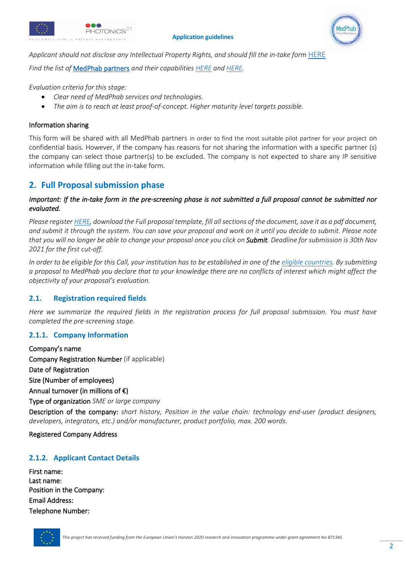



*Applicant should not disclose any Intellectual Property Rights, and should fill the in-take form* [HERE](https://community.medphab.eu/intake-form/)

*Find the list of* [MedPhab partners](https://medphab.eu/about-us/#whoweare) *and their capabilities [HERE](https://medphab.eu/offering/) and [HERE.](https://community.medphab.eu/community-marketplace)*

*Evaluation criteria for this stage:*

- *Clear need of MedPhab services and technologies.*
- *The aim is to reach at least proof-of-concept. Higher maturity level targets possible.*

## Information sharing

This form will be shared with all MedPhab partners in order to find the most suitable pilot partner for your project on confidential basis. However, if the company has reasons for not sharing the information with a specific partner (s) the company can select those partner(s) to be excluded. The company is not expected to share any IP sensitive information while filling out the in-take form.

## **2. Full Proposal submission phase**

#### *Important: If the in-take form in the pre-screening phase is not submitted a full proposal cannot be submitted nor evaluated.*

*Please registe[r HERE,](https://apply.medphab.eu/) download the Full proposal template, fill all sections of the document, save it as a pdf document, and submit it through the system. You can save your proposal and work on it until you decide to submit. Please note that you will no longer be able to change your proposal once you click on Submit. Deadline for submission is 30th Nov 2021 for the first cut-off.*

*In order to be eligible for this Call, your institution has to be established in one of the [eligible countries.](https://ec.europa.eu/research/participants/data/ref/h2020/other/wp/2016-2017/annexes/h2020-wp1617-annex-a-countries-rules_en.pdf) By submitting a proposal to MedPhab you declare that to your knowledge there are no conflicts of interest which might affect the objectivity of your proposal's evaluation.* 

## **2.1. Registration required fields**

*Here we summarize the required fields in the registration process for full proposal submission. You must have completed the pre-screening stage.*

## **2.1.1. Company Information**

Company's name Company Registration Number (if applicable) Date of Registration Size (Number of employees) Annual turnover (in millions of €) Type of organization *SME or large company* Description of the company: *short history, Position in the value chain: technology end-user (product designers, developers, integrators, etc.) and/or manufacturer, product portfolio, max. 200 words.*

Registered Company Address

## **2.1.2. Applicant Contact Details**

First name: Last name: Position in the Company: Email Address: Telephone Number:

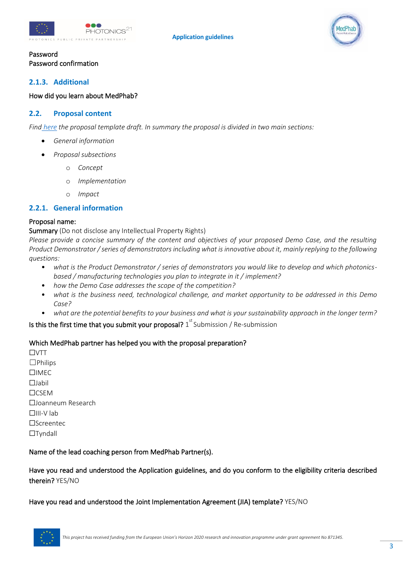

## Password Password confirmation

## **2.1.3. Additional**

#### How did you learn about MedPhab?

### **2.2. Proposal content**

*Find [here](https://medphab.eu/open-call/#Documents) the proposal template draft. In summary the proposal is divided in two main sections:*

- *General information*
- *Proposal subsections*
	- o *Concept*
	- o *Implementation*
	- o *Impact*

## **2.2.1. General information**

#### Proposal name:

Summary (Do not disclose any Intellectual Property Rights)

*Please provide a concise summary of the content and objectives of your proposed Demo Case, and the resulting Product Demonstrator / series of demonstrators including what is innovative about it, mainly replying to the following questions:*

- *what is the Product Demonstrator / series of demonstrators you would like to develop and which photonicsbased / manufacturing technologies you plan to integrate in it / implement?*
- *how the Demo Case addresses the scope of the competition?*
- *what is the business need, technological challenge, and market opportunity to be addressed in this Demo Case?*
- *what are the potential benefits to your business and what is your sustainability approach in the longer term?*

Is this the first time that you submit your proposal?  $1^{\mathrm{st}}$  Submission / Re-submission

#### Which MedPhab partner has helped you with the proposal preparation?

☐VTT  $\Box$ Philips ☐IMEC ☐Jabil ☐CSEM ☐Joanneum Research ☐III-V lab ☐Screentec ☐Tyndall

#### Name of the lead coaching person from MedPhab Partner(s).

Have you read and understood the Application guidelines, and do you conform to the eligibility criteria described therein? YES/NO

#### Have you read and understood the Joint Implementation Agreement (JIA) template? YES/NO

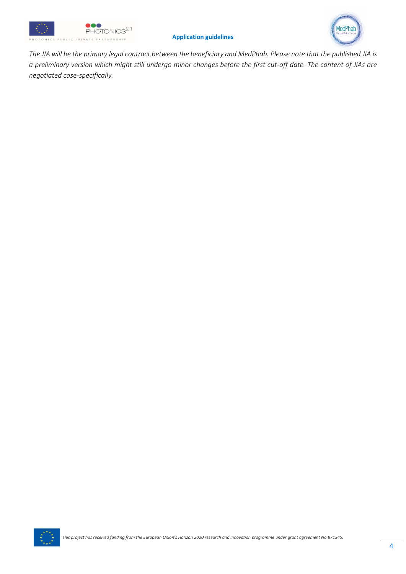



*The JIA will be the primary legal contract between the beneficiary and MedPhab. Please note that the published JIA is a preliminary version which might still undergo minor changes before the first cut-off date. The content of JIAs are negotiated case-specifically.*